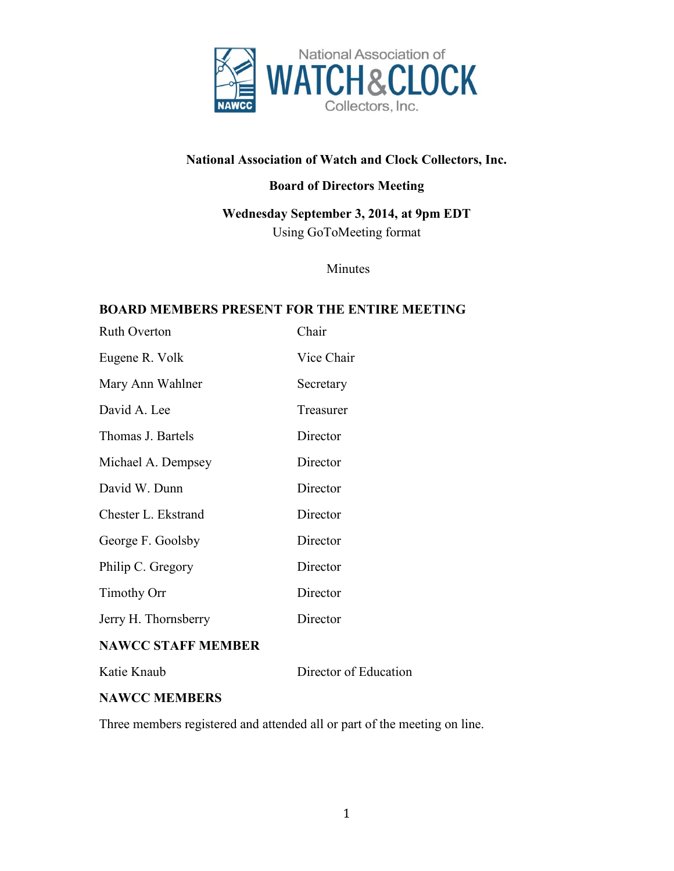

# **National Association of Watch and Clock Collectors, Inc.**

## **Board of Directors Meeting**

**Wednesday September 3, 2014, at 9pm EDT** Using GoToMeeting format

Minutes

#### **BOARD MEMBERS PRESENT FOR THE ENTIRE MEETING**

| <b>Ruth Overton</b>  | Chair      |
|----------------------|------------|
| Eugene R. Volk       | Vice Chair |
| Mary Ann Wahlner     | Secretary  |
| David A. Lee         | Treasurer  |
| Thomas J. Bartels    | Director   |
| Michael A. Dempsey   | Director   |
| David W. Dunn        | Director   |
| Chester L. Ekstrand  | Director   |
| George F. Goolsby    | Director   |
| Philip C. Gregory    | Director   |
| <b>Timothy Orr</b>   | Director   |
| Jerry H. Thornsberry | Director   |

### **NAWCC STAFF MEMBER**

Katie Knaub Director of Education

### **NAWCC MEMBERS**

Three members registered and attended all or part of the meeting on line.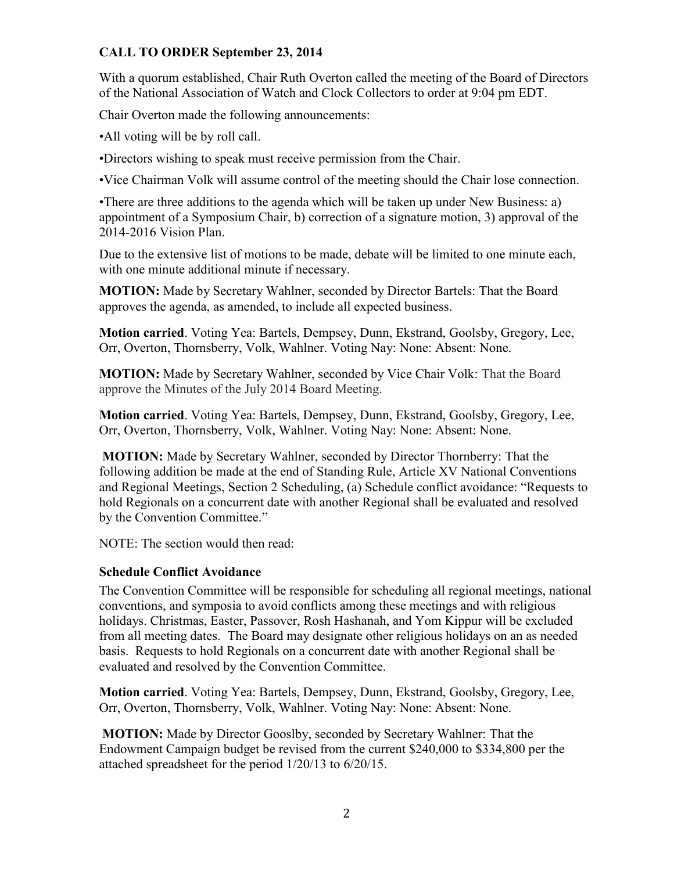### **CALL TO ORDER September 23, 2014**

With a quorum established, Chair Ruth Overton called the meeting of the Board of Directors of the National Association of Watch and Clock Collectors to order at 9:04 pm EDT.

Chair Overton made the following announcements:

•All voting will be by roll call.

•Directors wishing to speak must receive permission from the Chair.

•Vice Chairman Volk will assume control of the meeting should the Chair lose connection.

•There are three additions to the agenda which will be taken up under New Business: a) appointment of a Symposium Chair, b) correction of a signature motion, 3) approval of the 2014-2016 Vision Plan.

Due to the extensive list of motions to be made, debate will be limited to one minute each, with one minute additional minute if necessary.

**MOTION:** Made by Secretary Wahlner, seconded by Director Bartels: That the Board approves the agenda, as amended, to include all expected business.

**Motion carried**. Voting Yea: Bartels, Dempsey, Dunn, Ekstrand, Goolsby, Gregory, Lee, Orr, Overton, Thornsberry, Volk, Wahlner. Voting Nay: None: Absent: None.

**MOTION:** Made by Secretary Wahlner, seconded by Vice Chair Volk: That the Board approve the Minutes of the July 2014 Board Meeting.

**Motion carried**. Voting Yea: Bartels, Dempsey, Dunn, Ekstrand, Goolsby, Gregory, Lee, Orr, Overton, Thornsberry, Volk, Wahlner. Voting Nay: None: Absent: None.

**MOTION:** Made by Secretary Wahlner, seconded by Director Thornberry: That the following addition be made at the end of Standing Rule, Article XV National Conventions and Regional Meetings, Section 2 Scheduling, (a) Schedule conflict avoidance: "Requests to hold Regionals on a concurrent date with another Regional shall be evaluated and resolved by the Convention Committee."

NOTE: The section would then read:

#### **Schedule Conflict Avoidance**

The Convention Committee will be responsible for scheduling all regional meetings, national conventions, and symposia to avoid conflicts among these meetings and with religious holidays. Christmas, Easter, Passover, Rosh Hashanah, and Yom Kippur will be excluded from all meeting dates. The Board may designate other religious holidays on an as needed basis. Requests to hold Regionals on a concurrent date with another Regional shall be evaluated and resolved by the Convention Committee.

**Motion carried**. Voting Yea: Bartels, Dempsey, Dunn, Ekstrand, Goolsby, Gregory, Lee, Orr, Overton, Thornsberry, Volk, Wahlner. Voting Nay: None: Absent: None.

**MOTION:** Made by Director Gooslby, seconded by Secretary Wahlner: That the Endowment Campaign budget be revised from the current \$240,000 to \$334,800 per the attached spreadsheet for the period 1/20/13 to 6/20/15.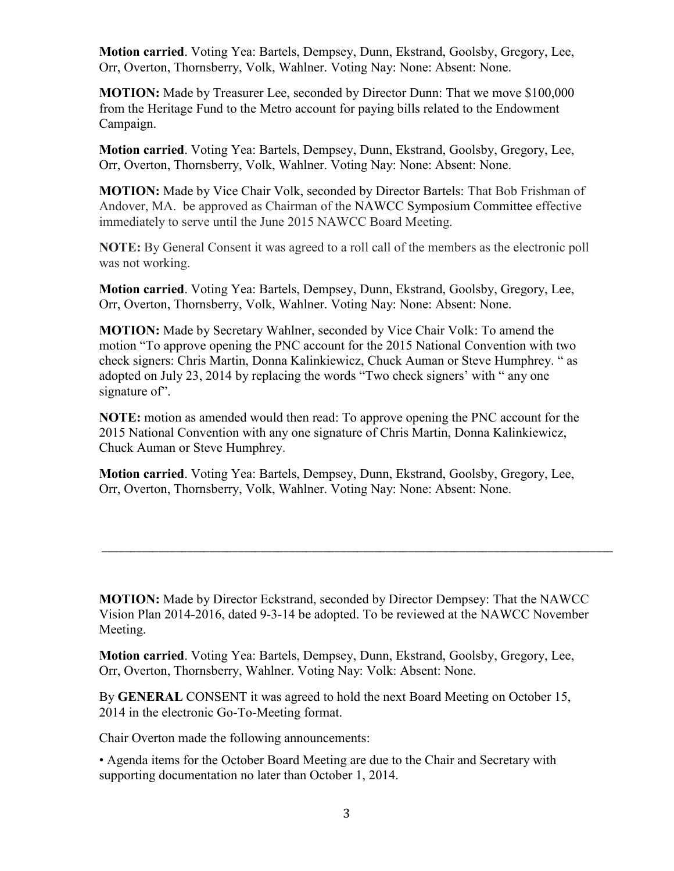**Motion carried**. Voting Yea: Bartels, Dempsey, Dunn, Ekstrand, Goolsby, Gregory, Lee, Orr, Overton, Thornsberry, Volk, Wahlner. Voting Nay: None: Absent: None.

**MOTION:** Made by Treasurer Lee, seconded by Director Dunn: That we move \$100,000 from the Heritage Fund to the Metro account for paying bills related to the Endowment Campaign.

**Motion carried**. Voting Yea: Bartels, Dempsey, Dunn, Ekstrand, Goolsby, Gregory, Lee, Orr, Overton, Thornsberry, Volk, Wahlner. Voting Nay: None: Absent: None.

**MOTION:** Made by Vice Chair Volk, seconded by Director Bartels: That Bob Frishman of Andover, MA. be approved as Chairman of the NAWCC Symposium Committee effective immediately to serve until the June 2015 NAWCC Board Meeting.

**NOTE:** By General Consent it was agreed to a roll call of the members as the electronic poll was not working.

**Motion carried**. Voting Yea: Bartels, Dempsey, Dunn, Ekstrand, Goolsby, Gregory, Lee, Orr, Overton, Thornsberry, Volk, Wahlner. Voting Nay: None: Absent: None.

**MOTION:** Made by Secretary Wahlner, seconded by Vice Chair Volk: To amend the motion "To approve opening the PNC account for the 2015 National Convention with two check signers: Chris Martin, Donna Kalinkiewicz, Chuck Auman or Steve Humphrey. " as adopted on July 23, 2014 by replacing the words "Two check signers' with " any one signature of".

**NOTE:** motion as amended would then read: To approve opening the PNC account for the 2015 National Convention with any one signature of Chris Martin, Donna Kalinkiewicz, Chuck Auman or Steve Humphrey.

**Motion carried**. Voting Yea: Bartels, Dempsey, Dunn, Ekstrand, Goolsby, Gregory, Lee, Orr, Overton, Thornsberry, Volk, Wahlner. Voting Nay: None: Absent: None.

**MOTION:** Made by Director Eckstrand, seconded by Director Dempsey: That the NAWCC Vision Plan 2014-2016, dated 9-3-14 be adopted. To be reviewed at the NAWCC November Meeting.

\_\_\_\_\_\_\_\_\_\_\_\_\_\_\_\_\_\_\_\_\_\_\_\_\_\_\_\_\_\_\_\_\_\_\_\_\_\_\_\_\_\_\_\_\_\_\_\_\_\_\_\_\_\_\_\_\_\_\_\_\_\_\_\_\_\_\_\_\_\_\_\_\_\_\_\_\_\_\_\_\_\_\_\_\_\_\_\_\_\_

**Motion carried**. Voting Yea: Bartels, Dempsey, Dunn, Ekstrand, Goolsby, Gregory, Lee, Orr, Overton, Thornsberry, Wahlner. Voting Nay: Volk: Absent: None.

By **GENERAL** CONSENT it was agreed to hold the next Board Meeting on October 15, 2014 in the electronic Go-To-Meeting format.

Chair Overton made the following announcements:

• Agenda items for the October Board Meeting are due to the Chair and Secretary with supporting documentation no later than October 1, 2014.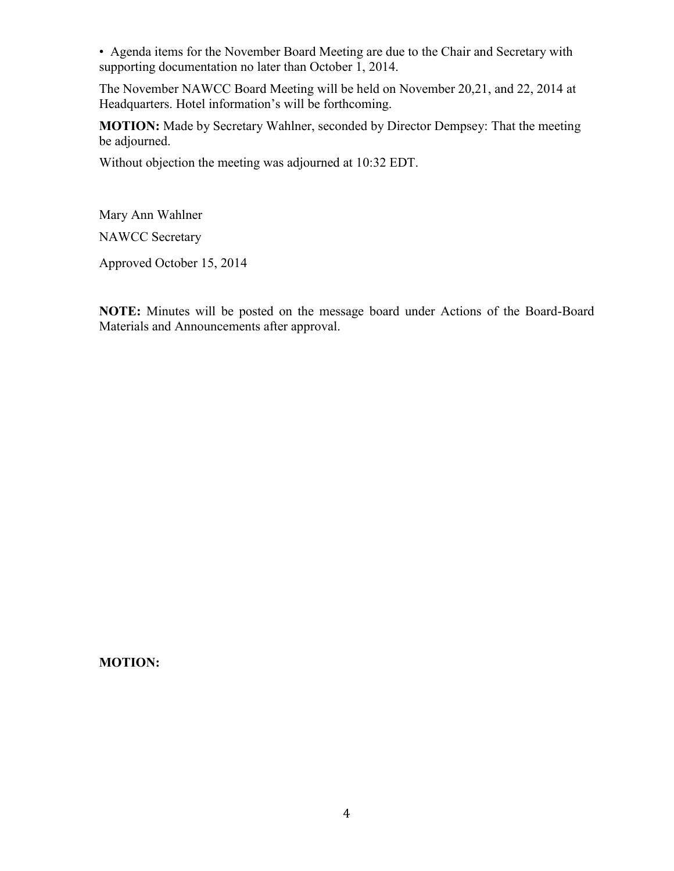• Agenda items for the November Board Meeting are due to the Chair and Secretary with supporting documentation no later than October 1, 2014.

The November NAWCC Board Meeting will be held on November 20,21, and 22, 2014 at Headquarters. Hotel information's will be forthcoming.

**MOTION:** Made by Secretary Wahlner, seconded by Director Dempsey: That the meeting be adjourned.

Without objection the meeting was adjourned at 10:32 EDT.

Mary Ann Wahlner

NAWCC Secretary

Approved October 15, 2014

**NOTE:** Minutes will be posted on the message board under Actions of the Board-Board Materials and Announcements after approval.

**MOTION:**